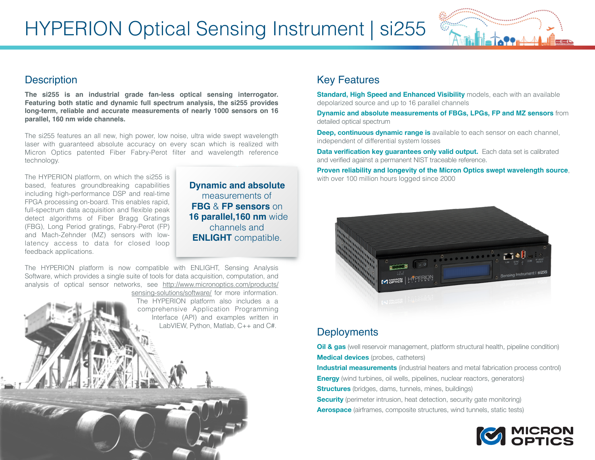

## **Description**

**The si255 is an industrial grade fan-less optical sensing interrogator. Featuring both static and dynamic full spectrum analysis, the si255 provides long-term, reliable and accurate measurements of nearly 1000 sensors on 16 parallel, 160 nm wide channels.**

The si255 features an all new, high power, low noise, ultra wide swept wavelength laser with guaranteed absolute accuracy on every scan which is realized with Micron Optics patented Fiber Fabry-Perot filter and wavelength reference technology.

The HYPERION platform, on which the si255 is based, features groundbreaking capabilities including high-performance DSP and real-time FPGA processing on-board. This enables rapid, full-spectrum data acquisition and flexible peak detect algorithms of Fiber Bragg Gratings (FBG), Long Period gratings, Fabry-Perot (FP) and Mach-Zehnder (MZ) sensors with lowlatency access to data for closed loop feedback applications.

**Dynamic and absolute** measurements of **FBG** & **FP sensors** on  **16 parallel,160 nm** wide channels and **ENLIGHT** compatible.

The HYPERION platform is now compatible with ENLIGHT, Sensing Analysis Software, which provides a single suite of tools for data acquisition, computation, and analysis of optical sensor netw[orks, see http://www.micronoptics.com/products/](http://www.micronoptics.com/products/sensing-solutions/software/) sensing-solutions/software/ for more information. The HYPERION platform also includes a a comprehensive Application Programming Interface (API) and examples written in LabVIEW, Python, Matlab, C++ and C#.

## Key Features

**Standard, High Speed and Enhanced Visibility** models, each with an available depolarized source and up to 16 parallel channels

**Dynamic and absolute measurements of FBGs, LPGs, FP and MZ sensors** from detailed optical spectrum

**Deep, continuous dynamic range is** available to each sensor on each channel, independent of differential system losses

**Data verification key guarantees only valid output.** Each data set is calibrated and verified against a permanent NIST traceable reference.

**Proven reliability and longevity of the Micron Optics swept wavelength source**, with over 100 million hours logged since 2000



## **Deployments**

**Oil & gas** (well reservoir management, platform structural health, pipeline condition) **Medical devices** (probes, catheters)

**Industrial measurements** (industrial heaters and metal fabrication process control)

**Energy** (wind turbines, oil wells, pipelines, nuclear reactors, generators)

**Structures** (bridges, dams, tunnels, mines, buildings)

**Security** (perimeter intrusion, heat detection, security gate monitoring)

**Aerospace** (airframes, composite structures, wind tunnels, static tests)